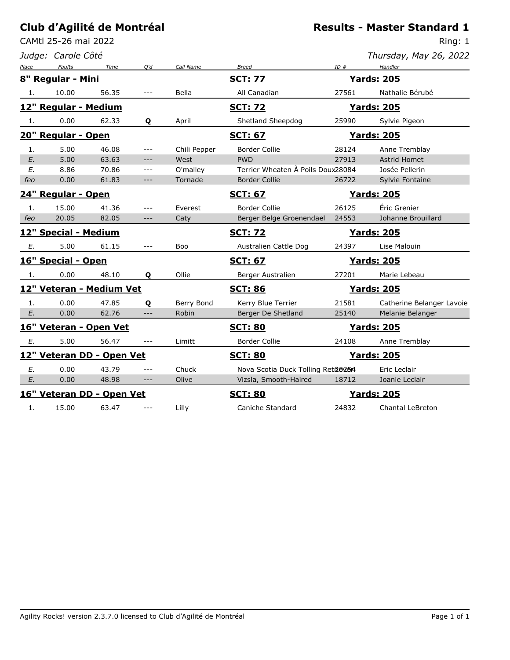CAMtl 25-26 mai 2022

#### *Judge: Carole Côté*

Ring: 1

*Thursday, May 26, 2022*

| Place | Faults               | Time                      | Q'd     | Call Name    | <b>Breed</b>                      | ID#   | Handler                   |
|-------|----------------------|---------------------------|---------|--------------|-----------------------------------|-------|---------------------------|
|       | 8" Regular - Mini    |                           |         |              | <u>SCT: 77</u>                    |       | <b>Yards: 205</b>         |
| 1.    | 10.00                | 56.35                     |         | Bella        | All Canadian                      | 27561 | Nathalie Bérubé           |
|       | 12" Regular - Medium |                           |         |              | <u>SCT: 72</u>                    |       | <b>Yards: 205</b>         |
| 1.    | 0.00                 | 62.33                     | Q       | April        | Shetland Sheepdog                 | 25990 | Sylvie Pigeon             |
|       | 20" Regular - Open   |                           |         |              | <b>SCT: 67</b>                    |       | <b>Yards: 205</b>         |
| 1.    | 5.00                 | 46.08                     | ---     | Chili Pepper | <b>Border Collie</b>              | 28124 | Anne Tremblay             |
| E.    | 5.00                 | 63.63                     | ---     | West         | <b>PWD</b>                        | 27913 | <b>Astrid Homet</b>       |
| E.    | 8.86                 | 70.86                     | $- - -$ | O'malley     | Terrier Wheaten A Poils Doux28084 |       | Josée Pellerin            |
| feo   | 0.00                 | 61.83                     | $---$   | Tornade      | <b>Border Collie</b>              | 26722 | Sylvie Fontaine           |
|       | 24" Regular - Open   |                           |         |              | <b>SCT: 67</b>                    |       | <b>Yards: 205</b>         |
| 1.    | 15.00                | 41.36                     | ---     | Everest      | <b>Border Collie</b>              | 26125 | Éric Grenier              |
| feo   | 20.05                | 82.05                     | $---$   | Caty         | Berger Belge Groenendael          | 24553 | Johanne Brouillard        |
|       | 12" Special - Medium |                           |         |              | <b>SCT: 72</b>                    |       | <b>Yards: 205</b>         |
| Е.    | 5.00                 | 61.15                     |         | Boo          | Australien Cattle Dog             | 24397 | Lise Malouin              |
|       | 16" Special - Open   |                           |         |              | <b>SCT: 67</b>                    |       | <b>Yards: 205</b>         |
| 1.    | 0.00                 | 48.10                     | Q       | Ollie        | Berger Australien                 | 27201 | Marie Lebeau              |
|       |                      | 12" Veteran - Medium Vet  |         |              | <b>SCT: 86</b>                    |       | <b>Yards: 205</b>         |
| 1.    | 0.00                 | 47.85                     | Q       | Berry Bond   | Kerry Blue Terrier                | 21581 | Catherine Belanger Lavoie |
| E.    | 0.00                 | 62.76                     | ---     | Robin        | Berger De Shetland                | 25140 | Melanie Belanger          |
|       |                      | 16" Veteran - Open Vet    |         |              | <b>SCT: 80</b>                    |       | <b>Yards: 205</b>         |
| Ε.    | 5.00                 | 56.47                     |         | Limitt       | <b>Border Collie</b>              | 24108 | Anne Tremblay             |
|       |                      | 12" Veteran DD - Open Vet |         |              | <b>SCT: 80</b>                    |       | <b>Yards: 205</b>         |
| E.    | 0.00                 | 43.79                     |         | Chuck        | Nova Scotia Duck Tolling Reta@264 |       | Eric Leclair              |
| E.    | 0.00                 | 48.98                     | $---$   | Olive        | Vizsla, Smooth-Haired             | 18712 | Joanie Leclair            |
|       |                      | 16" Veteran DD - Open Vet |         |              | <b>SCT: 80</b>                    |       | <u> Yards: 205</u>        |
| 1.    | 15.00                | 63.47                     |         | Lilly        | Caniche Standard                  | 24832 | <b>Chantal LeBreton</b>   |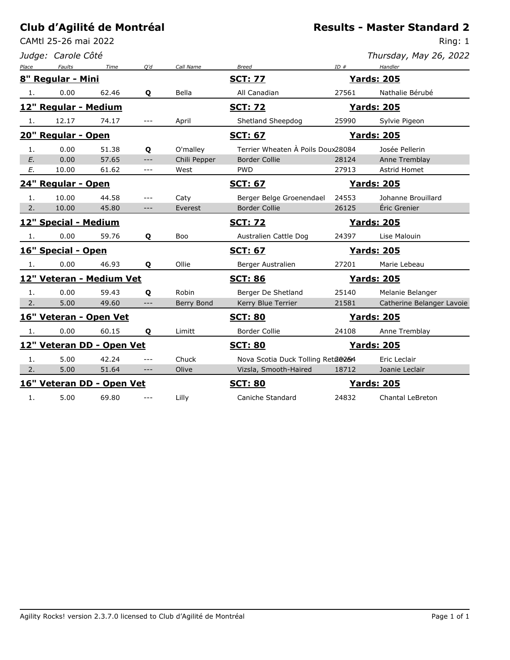CAMtl 25-26 mai 2022

*Judge: Carole Côté*

Ring: 1

| Thursday, May 26, 2022 |  |  |  |
|------------------------|--|--|--|
|------------------------|--|--|--|

| Place | Faults               | Time                      | O'd   | Call Name    | <b>Breed</b>                      | ID#   | Handler                   |
|-------|----------------------|---------------------------|-------|--------------|-----------------------------------|-------|---------------------------|
|       | 8" Regular - Mini    |                           |       |              | <u>SCT: 77</u>                    |       | <b>Yards: 205</b>         |
| 1.    | 0.00                 | 62.46                     | Q     | Bella        | All Canadian                      | 27561 | Nathalie Bérubé           |
|       | 12" Regular - Medium |                           |       |              | <u>SCT: 72</u>                    |       | <u> Yards: 205</u>        |
| 1.    | 12.17                | 74.17                     | $---$ | April        | Shetland Sheepdog                 | 25990 | Sylvie Pigeon             |
|       | 20" Regular - Open   |                           |       |              | <b>SCT: 67</b>                    |       | <b>Yards: 205</b>         |
| 1.    | 0.00                 | 51.38                     | Q     | O'malley     | Terrier Wheaten A Poils Doux28084 |       | Josée Pellerin            |
| E.    | 0.00                 | 57.65                     | $---$ | Chili Pepper | <b>Border Collie</b>              | 28124 | Anne Tremblay             |
| E.    | 10.00                | 61.62                     | $---$ | West         | <b>PWD</b>                        | 27913 | Astrid Homet              |
|       | 24" Regular - Open   |                           |       |              | <b>SCT: 67</b>                    |       | <b>Yards: 205</b>         |
| 1.    | 10.00                | 44.58                     |       | Caty         | Berger Belge Groenendael          | 24553 | Johanne Brouillard        |
| 2.    | 10.00                | 45.80                     | ---   | Everest      | <b>Border Collie</b>              | 26125 | Éric Grenier              |
|       | 12" Special - Medium |                           |       |              | <b>SCT: 72</b>                    |       | <b>Yards: 205</b>         |
| 1.    | 0.00                 | 59.76                     | Q     | Boo          | Australien Cattle Dog             | 24397 | Lise Malouin              |
|       | 16" Special - Open   |                           |       |              | <b>SCT: 67</b>                    |       | <u>Yards: 205</u>         |
| 1.    | 0.00                 | 46.93                     | Q     | Ollie        | Berger Australien                 | 27201 | Marie Lebeau              |
|       |                      | 12" Veteran - Medium Vet  |       |              | <b>SCT: 86</b>                    |       | <b>Yards: 205</b>         |
| 1.    | 0.00                 | 59.43                     | Q     | Robin        | Berger De Shetland                | 25140 | Melanie Belanger          |
| 2.    | 5.00                 | 49.60                     | ---   | Berry Bond   | Kerry Blue Terrier                | 21581 | Catherine Belanger Lavoie |
|       |                      | 16" Veteran - Open Vet    |       |              | <b>SCT: 80</b>                    |       | <b>Yards: 205</b>         |
| 1.    | 0.00                 | 60.15                     | Q     | Limitt       | <b>Border Collie</b>              | 24108 | Anne Tremblay             |
|       |                      | 12" Veteran DD - Open Vet |       |              | <b>SCT: 80</b>                    |       | <b>Yards: 205</b>         |
| 1.    | 5.00                 | 42.24                     |       | Chuck        | Nova Scotia Duck Tolling Reta@264 |       | Eric Leclair              |
| 2.    | 5.00                 | 51.64                     | $---$ | Olive        | Vizsla, Smooth-Haired             | 18712 | Joanie Leclair            |
|       |                      | 16" Veteran DD - Open Vet |       |              | <b>SCT: 80</b>                    |       | <b>Yards: 205</b>         |
| 1.    | 5.00                 | 69.80                     |       | Lilly        | Caniche Standard                  | 24832 | <b>Chantal LeBreton</b>   |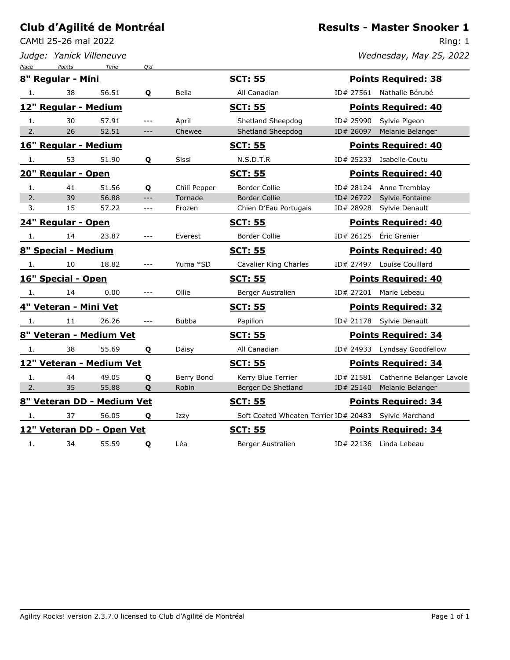CAMtl 25-26 mai 2022

*Judge: Yanick Villeneuve*

#### **Results - Master Snooker 1**

Ring: 1 *Wednesday, May 25, 2022*

| Place | Points                     | Time  | O'd   |              |                                                         |           |                            |
|-------|----------------------------|-------|-------|--------------|---------------------------------------------------------|-----------|----------------------------|
|       | 8" Regular - Mini          |       |       |              | <b>SCT: 55</b>                                          |           | <b>Points Required: 38</b> |
| 1.    | 38                         | 56.51 | Q     | Bella        | All Canadian                                            | ID# 27561 | Nathalie Bérubé            |
|       | 12" Regular - Medium       |       |       |              | <b>SCT: 55</b>                                          |           | <b>Points Required: 40</b> |
| 1.    | 30                         | 57.91 | $---$ | April        | Shetland Sheepdog                                       | ID# 25990 | Sylvie Pigeon              |
| 2.    | 26                         | 52.51 | $---$ | Chewee       | Shetland Sheepdog                                       | ID# 26097 | Melanie Belanger           |
|       | 16" Regular - Medium       |       |       |              | <u>SCT: 55</u>                                          |           | <b>Points Required: 40</b> |
| 1.    | 53                         | 51.90 | Q     | Sissi        | N.S.D.T.R                                               |           | ID# 25233 Isabelle Coutu   |
|       | 20" Regular - Open         |       |       |              | <b>SCT: 55</b>                                          |           | <b>Points Required: 40</b> |
| 1.    | 41                         | 51.56 | Q     | Chili Pepper | <b>Border Collie</b>                                    | ID# 28124 | Anne Tremblay              |
| 2.    | 39                         | 56.88 | $---$ | Tornade      | <b>Border Collie</b>                                    | ID# 26722 | Sylvie Fontaine            |
| 3.    | 15                         | 57.22 | $ -$  | Frozen       | Chien D'Eau Portugais                                   | ID# 28928 | Sylvie Denault             |
|       | 24" Regular - Open         |       |       |              | <u>SCT: 55</u>                                          |           | <b>Points Required: 40</b> |
| 1.    | 14                         | 23.87 | ---   | Everest      | <b>Border Collie</b>                                    | ID# 26125 | Éric Grenier               |
|       | 8" Special - Medium        |       |       |              | <b>SCT: 55</b>                                          |           | <b>Points Required: 40</b> |
| 1.    | 10                         | 18.82 | $---$ | Yuma *SD     | Cavalier King Charles                                   |           | ID# 27497 Louise Couillard |
|       | 16" Special - Open         |       |       |              | <u>SCT: 55</u>                                          |           | <b>Points Required: 40</b> |
| 1.    | 14                         | 0.00  | $---$ | Ollie        | Berger Australien                                       |           | ID# 27201 Marie Lebeau     |
|       | 4" Veteran - Mini Vet      |       |       |              | <u>SCT: 55</u>                                          |           | <b>Points Required: 32</b> |
| 1.    | 11                         | 26.26 |       | <b>Bubba</b> | Papillon                                                | ID# 21178 | Sylvie Denault             |
|       | 8" Veteran - Medium Vet    |       |       |              | <b>SCT: 55</b>                                          |           | <b>Points Required: 34</b> |
| 1.    | 38                         | 55.69 | Q     | Daisy        | All Canadian                                            | ID# 24933 | Lyndsay Goodfellow         |
|       | 12" Veteran - Medium Vet   |       |       |              | <b>SCT: 55</b>                                          |           | <b>Points Required: 34</b> |
| 1.    | 44                         | 49.05 | Q     | Berry Bond   | Kerry Blue Terrier                                      | ID# 21581 | Catherine Belanger Lavoie  |
| 2.    | 35                         | 55.88 | Q     | Robin        | Berger De Shetland                                      | ID# 25140 | Melanie Belanger           |
|       | 8" Veteran DD - Medium Vet |       |       |              | <b>SCT: 55</b>                                          |           | <b>Points Required: 34</b> |
| 1.    | 37                         | 56.05 | Q     | Izzy         | Soft Coated Wheaten Terrier ID# 20483   Sylvie Marchand |           |                            |
|       | 12" Veteran DD - Open Vet  |       |       |              | <u>SCT: 55</u>                                          |           | <b>Points Required: 34</b> |
| 1.    | 34                         | 55.59 | Q     | Léa          | Berger Australien                                       |           | ID# 22136 Linda Lebeau     |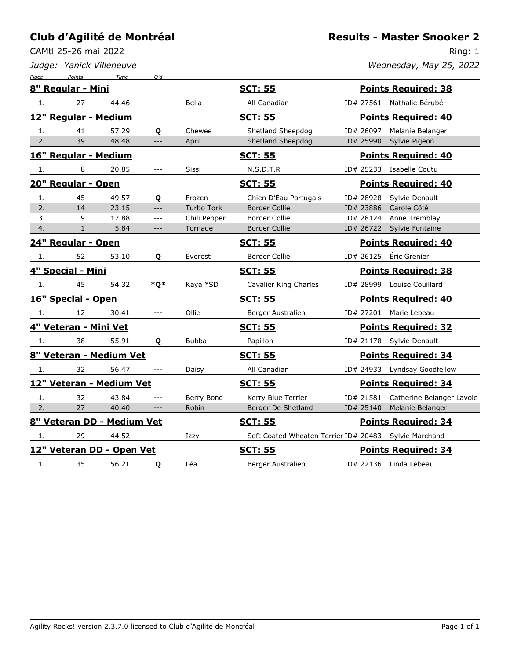CAMtl 25-26 mai 2022

*Judge: Yanick Villeneuve*

Ring: 1

*Wednesday, May 25, 2022*

| Place | Points                     | Time  | O'd                  |                   |                       |                                                        |
|-------|----------------------------|-------|----------------------|-------------------|-----------------------|--------------------------------------------------------|
|       | 8" Regular - Mini          |       |                      |                   | <u>SCT: 55</u>        | <b>Points Required: 38</b>                             |
| 1.    | 27                         | 44.46 | $\sim$ $\sim$ $\sim$ | Bella             | All Canadian          | ID# 27561 Nathalie Bérubé                              |
|       | 12" Regular - Medium       |       |                      |                   | <b>SCT: 55</b>        | <b>Points Required: 40</b>                             |
| 1.    | 41                         | 57.29 | Q                    | Chewee            | Shetland Sheepdog     | ID# 26097<br>Melanie Belanger                          |
| 2.    | 39                         | 48.48 | $---$                | April             | Shetland Sheepdog     | ID# 25990<br>Sylvie Pigeon                             |
|       | 16" Regular - Medium       |       |                      |                   | <b>SCT: 55</b>        | <b>Points Required: 40</b>                             |
| 1.    | 8                          | 20.85 | $---$                | Sissi             | N.S.D.T.R             | ID# 25233 Isabelle Coutu                               |
|       | 20" Regular - Open         |       |                      |                   | <b>SCT: 55</b>        | <b>Points Required: 40</b>                             |
| 1.    | 45                         | 49.57 | Q                    | Frozen            | Chien D'Eau Portugais | Sylvie Denault<br>ID# 28928                            |
| 2.    | 14                         | 23.15 | $---$                | <b>Turbo Tork</b> | <b>Border Collie</b>  | ID# 23886<br>Carole Côté                               |
| 3.    | 9                          | 17.88 | $- - -$              | Chili Pepper      | <b>Border Collie</b>  | Anne Tremblay<br>ID# 28124                             |
| 4.    | $\mathbf{1}$               | 5.84  | $---$                | Tornade           | <b>Border Collie</b>  | ID# 26722 Sylvie Fontaine                              |
|       | 24" Regular - Open         |       |                      |                   | <b>SCT: 55</b>        | <b>Points Required: 40</b>                             |
| 1.    | 52                         | 53.10 | Q                    | Everest           | <b>Border Collie</b>  | Éric Grenier<br>ID# 26125                              |
|       | 4" Special - Mini          |       |                      |                   | <u>SCT: 55</u>        | <b>Points Required: 38</b>                             |
| 1.    | 45                         | 54.32 | *Q*                  | Kaya *SD          | Cavalier King Charles | ID# 28999 Louise Couillard                             |
|       | 16" Special - Open         |       |                      |                   | <b>SCT: 55</b>        | <b>Points Required: 40</b>                             |
| 1.    | 12                         | 30.41 | $---$                | Ollie             | Berger Australien     | ID# 27201 Marie Lebeau                                 |
|       | 4" Veteran - Mini Vet      |       |                      |                   | <b>SCT: 55</b>        | <b>Points Required: 32</b>                             |
| 1.    | 38                         | 55.91 | Q                    | <b>Bubba</b>      | Papillon              | ID# 21178 Sylvie Denault                               |
|       | 8" Veteran - Medium Vet    |       |                      |                   | <b>SCT: 55</b>        | <b>Points Required: 34</b>                             |
| 1.    | 32                         | 56.47 | $---$                | Daisy             | All Canadian          | ID# 24933 Lyndsay Goodfellow                           |
|       | 12" Veteran - Medium Vet   |       |                      |                   | <b>SCT: 55</b>        | <b>Points Required: 34</b>                             |
| 1.    | 32                         | 43.84 | $---$                | Berry Bond        | Kerry Blue Terrier    | ID# 21581 Catherine Belanger Lavoie                    |
| 2.    | 27                         | 40.40 | $---$                | Robin             | Berger De Shetland    | ID# 25140<br>Melanie Belanger                          |
|       | 8" Veteran DD - Medium Vet |       |                      |                   | <u>SCT: 55</u>        | <b>Points Required: 34</b>                             |
| 1.    | 29                         | 44.52 |                      | Izzy              |                       | Soft Coated Wheaten Terrier ID# 20483  Sylvie Marchand |
|       | 12" Veteran DD - Open Vet  |       |                      |                   | <b>SCT: 55</b>        | <b>Points Required: 34</b>                             |
| 1.    | 35                         | 56.21 | Q                    | Léa               | Berger Australien     | ID# 22136 Linda Lebeau                                 |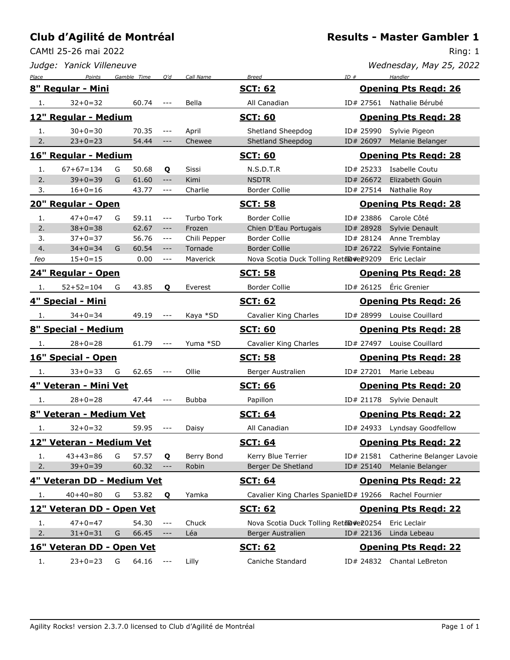CAMtl 25-26 mai 2022

Ring: 1

|       | Judge: Yanick Villeneuve   |   |             |                                                                   |              |                                                        |           | Wednesday, May 25, 2022      |
|-------|----------------------------|---|-------------|-------------------------------------------------------------------|--------------|--------------------------------------------------------|-----------|------------------------------|
| Place | Points                     |   | Gamble Time | Q'd                                                               | Call Name    | <b>Breed</b>                                           | ID#       | Handler                      |
|       | 8" Regular - Mini          |   |             |                                                                   |              | <u>SCT: 62</u>                                         |           | <b>Opening Pts Regd: 26</b>  |
| 1.    | $32 + 0 = 32$              |   | 60.74       | $---$                                                             | Bella        | All Canadian                                           |           | ID# 27561 Nathalie Bérubé    |
|       | 12" Regular - Medium       |   |             |                                                                   |              | <b>SCT: 60</b>                                         |           | <b>Opening Pts Regd: 28</b>  |
| 1.    | $30+0=30$                  |   | 70.35       | $\frac{1}{2}$                                                     | April        | Shetland Sheepdog                                      | ID# 25990 | Sylvie Pigeon                |
| 2.    | $23+0=23$                  |   | 54.44       | $---$                                                             | Chewee       | Shetland Sheepdog                                      | ID# 26097 | Melanie Belanger             |
|       | 16" Regular - Medium       |   |             |                                                                   |              | <b>SCT: 60</b>                                         |           | <b>Opening Pts Regd: 28</b>  |
| 1.    | $67+67=134$                | G | 50.68       | Q                                                                 | Sissi        | N.S.D.T.R                                              | ID# 25233 | Isabelle Coutu               |
| 2.    | $39 + 0 = 39$              | G | 61.60       | $\qquad \qquad - -$                                               | Kimi         | <b>NSDTR</b>                                           | ID# 26672 | Elizabeth Gouin              |
| 3.    | $16 + 0 = 16$              |   | 43.77       | $---$                                                             | Charlie      | Border Collie                                          | ID# 27514 | Nathalie Roy                 |
|       | 20" Regular - Open         |   |             |                                                                   |              | <u>SCT: 58</u>                                         |           | <b>Opening Pts Regd: 28</b>  |
| 1.    | $47 + 0 = 47$              | G | 59.11       | $--\,$                                                            | Turbo Tork   | Border Collie                                          | ID# 23886 | Carole Côté                  |
| 2.    | $38 + 0 = 38$              |   | 62.67       | $--\,$                                                            | Frozen       | Chien D'Eau Portugais                                  | ID# 28928 | Sylvie Denault               |
| 3.    | $37 + 0 = 37$              |   | 56.76       | $\sim$ $\sim$ $\sim$                                              | Chili Pepper | Border Collie                                          | ID# 28124 | Anne Tremblay                |
| 4.    | $34 + 0 = 34$              | G | 60.54       | $\qquad \qquad - -$                                               | Tornade      | <b>Border Collie</b>                                   | ID# 26722 | Sylvie Fontaine              |
| feo   | $15+0=15$                  |   | 0.00        | $- - -$                                                           | Maverick     | Nova Scotia Duck Tolling Retil@#e29209                 |           | Eric Leclair                 |
|       | <u> 24" Regular - Open</u> |   |             |                                                                   |              | <b>SCT: 58</b>                                         |           | <b>Opening Pts Regd: 28</b>  |
| 1.    | $52 + 52 = 104$            | G | 43.85       | Q                                                                 | Everest      | Border Collie                                          |           | ID# 26125 Éric Grenier       |
|       | 4" Special - Mini          |   |             |                                                                   |              | <b>SCT: 62</b>                                         |           | <b>Opening Pts Regd: 26</b>  |
| 1.    | $34 + 0 = 34$              |   | 49.19       | $- - -$                                                           | Kaya *SD     | Cavalier King Charles                                  |           | ID# 28999 Louise Couillard   |
|       | 8" Special - Medium        |   |             |                                                                   |              | <b>SCT: 60</b>                                         |           | <b>Opening Pts Regd: 28</b>  |
| 1.    | $28 + 0 = 28$              |   | 61.79       |                                                                   | Yuma *SD     | Cavalier King Charles                                  | ID# 27497 | Louise Couillard             |
|       | 16" Special - Open         |   |             |                                                                   |              | <b>SCT: 58</b>                                         |           | <b>Opening Pts Regd: 28</b>  |
| 1.    | $33+0=33$                  | G | 62.65       |                                                                   | Ollie        | Berger Australien                                      |           | ID# 27201 Marie Lebeau       |
|       | 4" Veteran - Mini Vet      |   |             |                                                                   |              | <b>SCT: 66</b>                                         |           | <b>Opening Pts Regd: 20</b>  |
| -1.   | $28 + 0 = 28$              |   | 47.44       | $\qquad \qquad -$                                                 | <b>Bubba</b> | Papillon                                               |           | ID# 21178 Sylvie Denault     |
|       | 8" Veteran - Medium Vet    |   |             |                                                                   |              | <u>SCT: 64</u>                                         |           | <b>Opening Pts Regd: 22</b>  |
| 1.    | $32+0=32$                  |   | 59.95       | $---$                                                             | Daisy        | All Canadian                                           |           | ID# 24933 Lyndsay Goodfellow |
|       | 12" Veteran - Medium Vet   |   |             |                                                                   |              | <b>SCT: 64</b>                                         |           | <b>Opening Pts Regd: 22</b>  |
| 1.    | $43+43=86$                 | G | 57.57       | Q                                                                 | Berry Bond   | Kerry Blue Terrier                                     | ID# 21581 | Catherine Belanger Lavoie    |
| 2.    | $39 + 0 = 39$              |   | 60.32       | $\hspace{0.05cm} \ldots \hspace{0.05cm}$ $\hspace{0.05cm} \ldots$ | Robin        | Berger De Shetland                                     | ID# 25140 | Melanie Belanger             |
|       | 4" Veteran DD - Medium Vet |   |             |                                                                   |              | <b>SCT: 64</b>                                         |           | <b>Opening Pts Regd: 22</b>  |
| 1.    | $40+40=80$                 | G | 53.82       | Q                                                                 | Yamka        | Cavalier King Charles SpanielID# 19266 Rachel Fournier |           |                              |
|       | 12" Veteran DD - Open Vet  |   |             |                                                                   |              | <u>SCT: 62</u>                                         |           | <b>Opening Pts Regd: 22</b>  |
| 1.    | $47 + 0 = 47$              |   | 54.30       | $\cdots$                                                          | Chuck        | Nova Scotia Duck Tolling Retile#e20254                 |           | Eric Leclair                 |
| 2.    | $31 + 0 = 31$              | G | 66.45       | $\qquad \qquad - -$                                               | Léa          | Berger Australien                                      | ID# 22136 | Linda Lebeau                 |
|       | 16" Veteran DD - Open Vet  |   |             |                                                                   |              | <b>SCT: 62</b>                                         |           | <b>Opening Pts Regd: 22</b>  |
| 1.    | $23+0=23$                  | G | 64.16       | $--\,$                                                            | Lilly        | Caniche Standard                                       |           | ID# 24832 Chantal LeBreton   |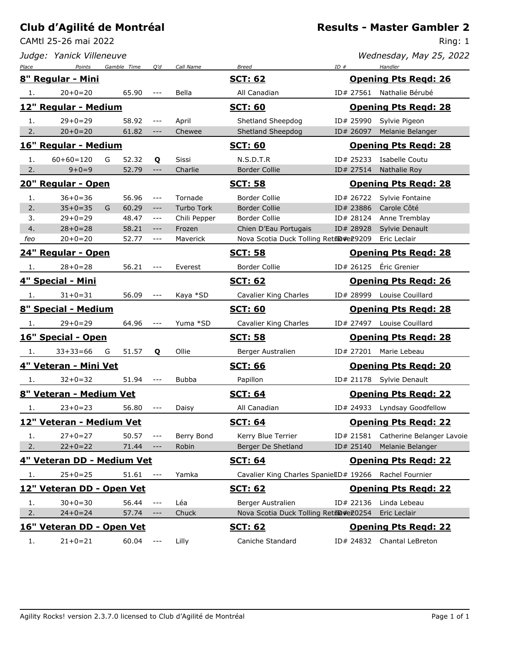CAMtl 25-26 mai 2022

Ring: 1

|       | Judge: Yanick Villeneuve           |   |             |                         |              |                                        |           | Wednesday, May 25, 2022                |
|-------|------------------------------------|---|-------------|-------------------------|--------------|----------------------------------------|-----------|----------------------------------------|
| Place | Points<br><u>8" Regular - Mini</u> |   | Gamble Time | Q'd                     | Call Name    | <b>Breed</b><br><u>SCT: 62</u>         | ID#       | Handler<br><b>Opening Pts Regd: 26</b> |
|       |                                    |   |             |                         |              |                                        |           |                                        |
| 1.    | $20+0=20$                          |   | 65.90       |                         | Bella        | All Canadian                           |           | ID# 27561 Nathalie Bérubé              |
|       | 12" Regular - Medium               |   |             |                         |              | <b>SCT: 60</b>                         |           | <b>Opening Pts Regd: 28</b>            |
| 1.    | $29 + 0 = 29$                      |   | 58.92       | $- - -$                 | April        | Shetland Sheepdog                      | ID# 25990 | Sylvie Pigeon                          |
| 2.    | $20+0=20$                          |   | 61.82       | $---$                   | Chewee       | Shetland Sheepdog                      | ID# 26097 | Melanie Belanger                       |
|       | 16" Regular - Medium               |   |             |                         |              | <u>SCT: 60</u>                         |           | <b>Opening Pts Regd: 28</b>            |
| 1.    | $60+60=120$                        | G | 52.32       | Q                       | Sissi        | N.S.D.T.R                              | ID# 25233 | Isabelle Coutu                         |
| 2.    | $9+0=9$                            |   | 52.79       | $---$                   | Charlie      | <b>Border Collie</b>                   | ID# 27514 | Nathalie Roy                           |
|       | 20" Regular - Open                 |   |             |                         |              | <u>SCT: 58</u>                         |           | <b>Opening Pts Regd: 28</b>            |
| 1.    | $36+0=36$                          |   | 56.96       | $\sim$ $\sim$ $\sim$    | Tornade      | Border Collie                          | ID# 26722 | Sylvie Fontaine                        |
| 2.    | $35+0=35$                          | G | 60.29       | $--\,$                  | Turbo Tork   | <b>Border Collie</b>                   | ID# 23886 | Carole Côté                            |
| 3.    | $29 + 0 = 29$                      |   | 48.47       | $--\,$                  | Chili Pepper | Border Collie                          | ID# 28124 | Anne Tremblay                          |
| 4.    | $28 + 0 = 28$                      |   | 58.21       | $--\,$                  | Frozen       | Chien D'Eau Portugais                  | ID# 28928 | Sylvie Denault                         |
| feo   | $20+0=20$                          |   | 52.77       | $---$                   | Maverick     | Nova Scotia Duck Tolling Retil@#e29209 |           | Eric Leclair                           |
|       | <u> 24" Regular - Open</u>         |   |             |                         |              | <u>SCT: 58</u>                         |           | <b>Opening Pts Regd: 28</b>            |
| 1.    | $28 + 0 = 28$                      |   | 56.21       | $---$                   | Everest      | <b>Border Collie</b>                   | ID# 26125 | Éric Grenier                           |
|       | <u> 4" Special - Mini</u>          |   |             |                         |              | <u>SCT: 62</u>                         |           | <b>Opening Pts Regd: 26</b>            |
| 1.    | $31 + 0 = 31$                      |   | 56.09       |                         | Kaya *SD     | Cavalier King Charles                  | ID# 28999 | Louise Couillard                       |
|       | <u> 8" Special - Medium</u>        |   |             |                         |              | <b>SCT: 60</b>                         |           | <b>Opening Pts Regd: 28</b>            |
| 1.    | $29 + 0 = 29$                      |   | 64.96       |                         | Yuma *SD     | Cavalier King Charles                  |           | ID# 27497 Louise Couillard             |
|       | <u> 16" Special - Open</u>         |   |             |                         |              | <u>SCT: 58</u>                         |           | <b>Opening Pts Regd: 28</b>            |
| 1.    | $33+33=66$                         | G | 51.57       | Q                       | Ollie        | Berger Australien                      |           | ID# 27201 Marie Lebeau                 |
|       | <u> 4" Veteran - Mini Vet</u>      |   |             |                         |              | <u>SCT: 66</u>                         |           | <b>Opening Pts Regd: 20</b>            |
| 1.    | $32 + 0 = 32$                      |   | 51.94       |                         | Bubba        | Papillon                               |           | ID# 21178 Sylvie Denault               |
|       | <u> 8" Veteran - Medium Vet</u>    |   |             |                         |              | <b>SCT: 64</b>                         |           | <b>Opening Pts Regd: 22</b>            |
| 1.    | $23+0=23$                          |   | 56.80       | $- - -$                 | Daisy        | All Canadian                           |           | ID# 24933 Lyndsay Goodfellow           |
|       | 12" Veteran - Medium Vet           |   |             |                         |              | <b>SCT: 64</b>                         |           | <b>Opening Pts Regd: 22</b>            |
| 1.    | $27 + 0 = 27$                      |   | 50.57       | $- - -$                 | Berry Bond   | Kerry Blue Terrier                     | ID# 21581 | Catherine Belanger Lavoie              |
| 2.    | $22+0=22$                          |   | 71.44       | $\hspace{0.05cm}$ – – – | Robin        | Berger De Shetland                     | ID# 25140 | Melanie Belanger                       |
|       | 4" Veteran DD - Medium Vet         |   |             |                         |              | <u>SCT: 64</u>                         |           | <b>Opening Pts Regd: 22</b>            |
| 1.    | $25 + 0 = 25$                      |   | 51.61       | $\qquad \qquad - -$     | Yamka        | Cavalier King Charles SpanielID# 19266 |           | Rachel Fournier                        |
|       | 12" Veteran DD - Open Vet          |   |             |                         |              | <b>SCT: 62</b>                         |           | <b>Opening Pts Regd: 22</b>            |
| 1.    | $30 + 0 = 30$                      |   | 56.44       | $\qquad \qquad -$       | Léa          | Berger Australien                      | ID# 22136 | Linda Lebeau                           |
| 2.    | $24 + 0 = 24$                      |   | 57.74       | $--\,$                  | Chuck        | Nova Scotia Duck Tolling Retil@#e20254 |           | Eric Leclair                           |
|       | 16" Veteran DD - Open Vet          |   |             |                         |              | <b>SCT: 62</b>                         |           | <b>Opening Pts Regd: 22</b>            |
| 1.    | $21+0=21$                          |   | 60.04       | $- - -$                 | Lilly        | Caniche Standard                       |           | ID# 24832 Chantal LeBreton             |
|       |                                    |   |             |                         |              |                                        |           |                                        |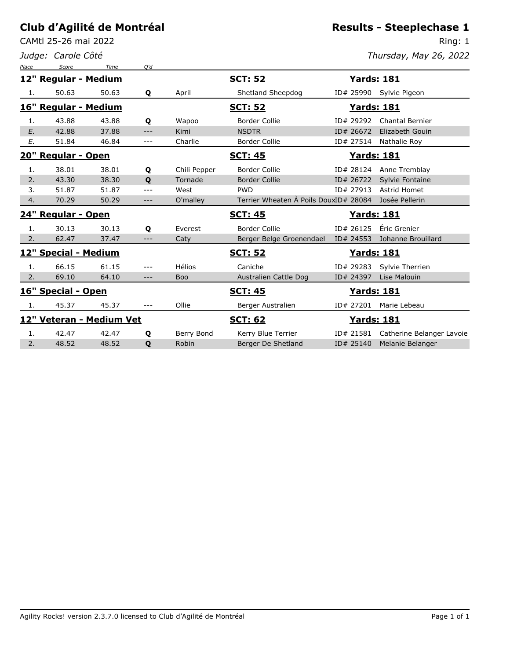CAMtl 25-26 mai 2022

*Judge: Carole Côté*

#### **Results - Steeplechase 1**

Ring: 1 *Thursday, May 26, 2022*

| Place | Score                    | Time  | Q'd          |              |                                       |                    |                           |
|-------|--------------------------|-------|--------------|--------------|---------------------------------------|--------------------|---------------------------|
|       | 12" Regular - Medium     |       |              |              | <b>SCT: 52</b>                        | <b>Yards: 181</b>  |                           |
| 1.    | 50.63                    | 50.63 | Q            | April        | Shetland Sheepdog                     |                    | ID# 25990 Sylvie Pigeon   |
|       | 16" Regular - Medium     |       |              |              | <u>SCT: 52</u>                        | <u> Yards: 181</u> |                           |
| 1.    | 43.88                    | 43.88 | Q            | Wapoo        | <b>Border Collie</b>                  | ID# 29292          | <b>Chantal Bernier</b>    |
| E.    | 42.88                    | 37.88 | $---$        | Kimi         | <b>NSDTR</b>                          | ID# 26672          | Elizabeth Gouin           |
| E.    | 51.84                    | 46.84 | $---$        | Charlie      | <b>Border Collie</b>                  | ID# 27514          | Nathalie Roy              |
|       | 20" Regular - Open       |       |              |              | <b>SCT: 45</b>                        | <b>Yards: 181</b>  |                           |
| 1.    | 38.01                    | 38.01 | Q            | Chili Pepper | Border Collie                         | ID# 28124          | Anne Tremblay             |
| 2.    | 43.30                    | 38.30 | $\mathbf{o}$ | Tornade      | <b>Border Collie</b>                  | ID# 26722          | Sylvie Fontaine           |
| 3.    | 51.87                    | 51.87 | $---$        | West         | <b>PWD</b>                            | ID# 27913          | Astrid Homet              |
| 4.    | 70.29                    | 50.29 | $---$        | O'malley     | Terrier Wheaten A Poils DouxID# 28084 |                    | Josée Pellerin            |
|       |                          |       |              |              |                                       |                    |                           |
|       | 24" Regular - Open       |       |              |              | <b>SCT: 45</b>                        | <u>Yards: 181</u>  |                           |
| 1.    | 30.13                    | 30.13 | Q            | Everest      | <b>Border Collie</b>                  | ID# 26125          | Éric Grenier              |
| 2.    | 62.47                    | 37.47 | $---$        | Caty         | Berger Belge Groenendael              | ID# 24553          | Johanne Brouillard        |
|       | 12" Special - Medium     |       |              |              | <u>SCT: 52</u>                        | <u>Yards: 181</u>  |                           |
| 1.    | 66.15                    | 61.15 | $---$        | Hélios       | Caniche                               | ID# 29283          | Sylvie Therrien           |
| 2.    | 69.10                    | 64.10 | $---$        | <b>Boo</b>   | Australien Cattle Dog                 | ID# 24397          | Lise Malouin              |
|       | 16" Special - Open       |       |              |              | <b>SCT: 45</b>                        | <b>Yards: 181</b>  |                           |
| 1.    | 45.37                    | 45.37 | $---$        | Ollie        | Berger Australien                     | ID# 27201          | Marie Lebeau              |
|       | 12" Veteran - Medium Vet |       |              |              | <b>SCT: 62</b>                        | <u> Yards: 181</u> |                           |
| 1.    | 42.47                    | 42.47 | Q            | Berry Bond   | Kerry Blue Terrier                    | ID# 21581          | Catherine Belanger Lavoie |